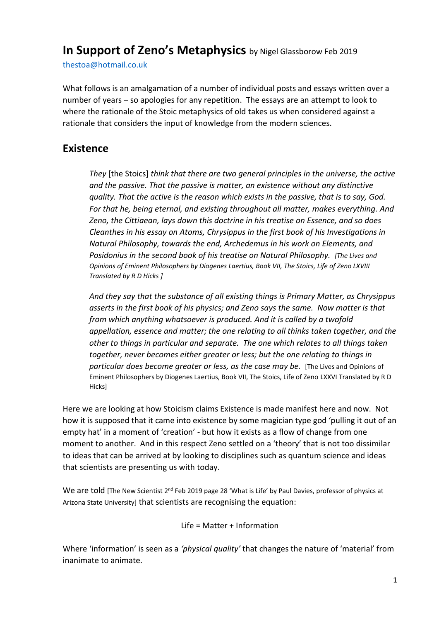# **In Support of Zeno's Metaphysics** by Nigel Glassborow Feb 2019

[thestoa@hotmail.co.uk](mailto:thestoa@hotmail.co.uk)

What follows is an amalgamation of a number of individual posts and essays written over a number of years – so apologies for any repetition. The essays are an attempt to look to where the rationale of the Stoic metaphysics of old takes us when considered against a rationale that considers the input of knowledge from the modern sciences.

### **Existence**

*They* [the Stoics] *think that there are two general principles in the universe, the active and the passive. That the passive is matter, an existence without any distinctive quality. That the active is the reason which exists in the passive, that is to say, God. For that he, being eternal, and existing throughout all matter, makes everything. And Zeno, the Cittiaean, lays down this doctrine in his treatise on Essence, and so does Cleanthes in his essay on Atoms, Chrysippus in the first book of his Investigations in Natural Philosophy, towards the end, Archedemus in his work on Elements, and Posidonius in the second book of his treatise on Natural Philosophy. [The Lives and Opinions of Eminent Philosophers by Diogenes Laertius, Book VII, The Stoics, Life of Zeno LXVIII Translated by R D Hicks ]*

*And they say that the substance of all existing things is Primary Matter, as Chrysippus asserts in the first book of his physics; and Zeno says the same. Now matter is that from which anything whatsoever is produced. And it is called by a twofold appellation, essence and matter; the one relating to all thinks taken together, and the other to things in particular and separate. The one which relates to all things taken together, never becomes either greater or less; but the one relating to things in particular does become greater or less, as the case may be.* [The Lives and Opinions of Eminent Philosophers by Diogenes Laertius, Book VII, The Stoics, Life of Zeno LXXVI Translated by R D Hicks]

Here we are looking at how Stoicism claims Existence is made manifest here and now. Not how it is supposed that it came into existence by some magician type god 'pulling it out of an empty hat' in a moment of 'creation' - but how it exists as a flow of change from one moment to another. And in this respect Zeno settled on a 'theory' that is not too dissimilar to ideas that can be arrived at by looking to disciplines such as quantum science and ideas that scientists are presenting us with today.

We are told [The New Scientist 2<sup>nd</sup> Feb 2019 page 28 'What is Life' by Paul Davies, professor of physics at Arizona State University] that scientists are recognising the equation:

Life = Matter + Information

Where 'information' is seen as a *'physical quality'* that changes the nature of 'material' from inanimate to animate.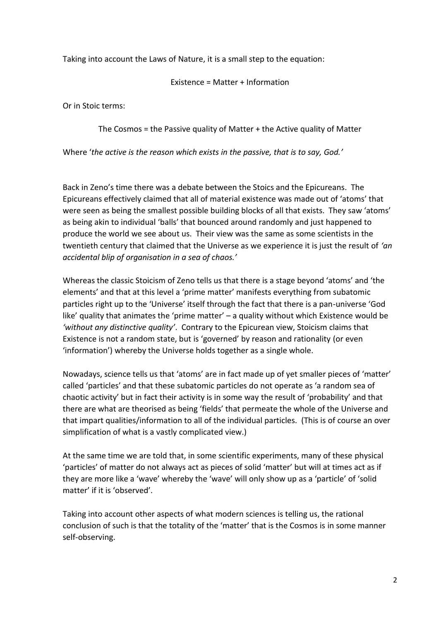Taking into account the Laws of Nature, it is a small step to the equation:

Existence = Matter + Information

Or in Stoic terms:

The Cosmos = the Passive quality of Matter + the Active quality of Matter

Where '*the active is the reason which exists in the passive, that is to say, God.'*

Back in Zeno's time there was a debate between the Stoics and the Epicureans. The Epicureans effectively claimed that all of material existence was made out of 'atoms' that were seen as being the smallest possible building blocks of all that exists. They saw 'atoms' as being akin to individual 'balls' that bounced around randomly and just happened to produce the world we see about us. Their view was the same as some scientists in the twentieth century that claimed that the Universe as we experience it is just the result of *'an accidental blip of organisation in a sea of chaos.'*

Whereas the classic Stoicism of Zeno tells us that there is a stage beyond 'atoms' and 'the elements' and that at this level a 'prime matter' manifests everything from subatomic particles right up to the 'Universe' itself through the fact that there is a pan-universe 'God like' quality that animates the 'prime matter' – a quality without which Existence would be *'without any distinctive quality'*. Contrary to the Epicurean view, Stoicism claims that Existence is not a random state, but is 'governed' by reason and rationality (or even 'information') whereby the Universe holds together as a single whole.

Nowadays, science tells us that 'atoms' are in fact made up of yet smaller pieces of 'matter' called 'particles' and that these subatomic particles do not operate as 'a random sea of chaotic activity' but in fact their activity is in some way the result of 'probability' and that there are what are theorised as being 'fields' that permeate the whole of the Universe and that impart qualities/information to all of the individual particles. (This is of course an over simplification of what is a vastly complicated view.)

At the same time we are told that, in some scientific experiments, many of these physical 'particles' of matter do not always act as pieces of solid 'matter' but will at times act as if they are more like a 'wave' whereby the 'wave' will only show up as a 'particle' of 'solid matter' if it is 'observed'.

Taking into account other aspects of what modern sciences is telling us, the rational conclusion of such is that the totality of the 'matter' that is the Cosmos is in some manner self-observing.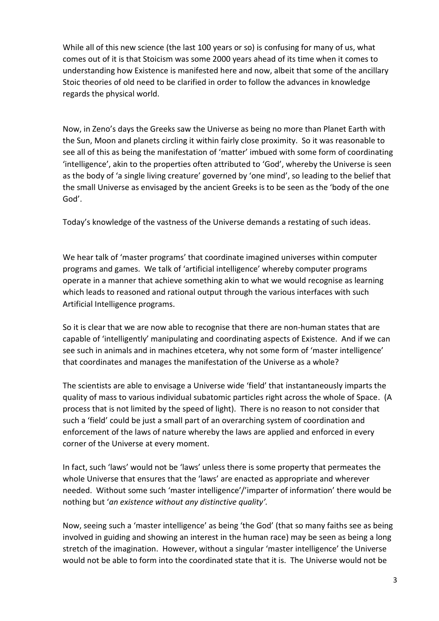While all of this new science (the last 100 years or so) is confusing for many of us, what comes out of it is that Stoicism was some 2000 years ahead of its time when it comes to understanding how Existence is manifested here and now, albeit that some of the ancillary Stoic theories of old need to be clarified in order to follow the advances in knowledge regards the physical world.

Now, in Zeno's days the Greeks saw the Universe as being no more than Planet Earth with the Sun, Moon and planets circling it within fairly close proximity. So it was reasonable to see all of this as being the manifestation of 'matter' imbued with some form of coordinating 'intelligence', akin to the properties often attributed to 'God', whereby the Universe is seen as the body of 'a single living creature' governed by 'one mind', so leading to the belief that the small Universe as envisaged by the ancient Greeks is to be seen as the 'body of the one God'.

Today's knowledge of the vastness of the Universe demands a restating of such ideas.

We hear talk of 'master programs' that coordinate imagined universes within computer programs and games. We talk of 'artificial intelligence' whereby computer programs operate in a manner that achieve something akin to what we would recognise as learning which leads to reasoned and rational output through the various interfaces with such Artificial Intelligence programs.

So it is clear that we are now able to recognise that there are non-human states that are capable of 'intelligently' manipulating and coordinating aspects of Existence. And if we can see such in animals and in machines etcetera, why not some form of 'master intelligence' that coordinates and manages the manifestation of the Universe as a whole?

The scientists are able to envisage a Universe wide 'field' that instantaneously imparts the quality of mass to various individual subatomic particles right across the whole of Space. (A process that is not limited by the speed of light). There is no reason to not consider that such a 'field' could be just a small part of an overarching system of coordination and enforcement of the laws of nature whereby the laws are applied and enforced in every corner of the Universe at every moment.

In fact, such 'laws' would not be 'laws' unless there is some property that permeates the whole Universe that ensures that the 'laws' are enacted as appropriate and wherever needed. Without some such 'master intelligence'/'imparter of information' there would be nothing but '*an existence without any distinctive quality'.*

Now, seeing such a 'master intelligence' as being 'the God' (that so many faiths see as being involved in guiding and showing an interest in the human race) may be seen as being a long stretch of the imagination. However, without a singular 'master intelligence' the Universe would not be able to form into the coordinated state that it is. The Universe would not be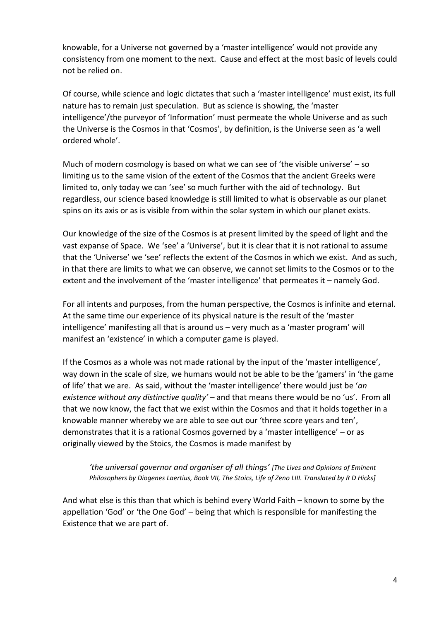knowable, for a Universe not governed by a 'master intelligence' would not provide any consistency from one moment to the next. Cause and effect at the most basic of levels could not be relied on.

Of course, while science and logic dictates that such a 'master intelligence' must exist, its full nature has to remain just speculation. But as science is showing, the 'master intelligence'/the purveyor of 'Information' must permeate the whole Universe and as such the Universe is the Cosmos in that 'Cosmos', by definition, is the Universe seen as 'a well ordered whole'.

Much of modern cosmology is based on what we can see of 'the visible universe' – so limiting us to the same vision of the extent of the Cosmos that the ancient Greeks were limited to, only today we can 'see' so much further with the aid of technology. But regardless, our science based knowledge is still limited to what is observable as our planet spins on its axis or as is visible from within the solar system in which our planet exists.

Our knowledge of the size of the Cosmos is at present limited by the speed of light and the vast expanse of Space. We 'see' a 'Universe', but it is clear that it is not rational to assume that the 'Universe' we 'see' reflects the extent of the Cosmos in which we exist. And as such, in that there are limits to what we can observe, we cannot set limits to the Cosmos or to the extent and the involvement of the 'master intelligence' that permeates it – namely God.

For all intents and purposes, from the human perspective, the Cosmos is infinite and eternal. At the same time our experience of its physical nature is the result of the 'master intelligence' manifesting all that is around us – very much as a 'master program' will manifest an 'existence' in which a computer game is played.

If the Cosmos as a whole was not made rational by the input of the 'master intelligence', way down in the scale of size, we humans would not be able to be the 'gamers' in 'the game of life' that we are. As said, without the 'master intelligence' there would just be '*an existence without any distinctive quality'* – and that means there would be no 'us'. From all that we now know, the fact that we exist within the Cosmos and that it holds together in a knowable manner whereby we are able to see out our 'three score years and ten', demonstrates that it is a rational Cosmos governed by a 'master intelligence' – or as originally viewed by the Stoics, the Cosmos is made manifest by

*'the universal governor and organiser of all things' [The Lives and Opinions of Eminent Philosophers by Diogenes Laertius, Book VII, The Stoics, Life of Zeno LIII. Translated by R D Hicks]*

And what else is this than that which is behind every World Faith – known to some by the appellation 'God' or 'the One God' – being that which is responsible for manifesting the Existence that we are part of.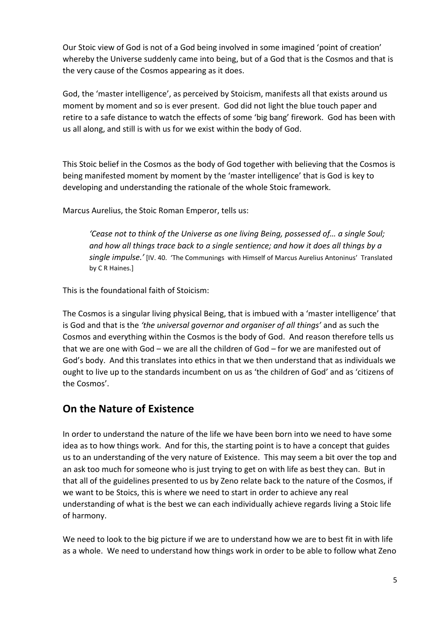Our Stoic view of God is not of a God being involved in some imagined 'point of creation' whereby the Universe suddenly came into being, but of a God that is the Cosmos and that is the very cause of the Cosmos appearing as it does.

God, the 'master intelligence', as perceived by Stoicism, manifests all that exists around us moment by moment and so is ever present. God did not light the blue touch paper and retire to a safe distance to watch the effects of some 'big bang' firework. God has been with us all along, and still is with us for we exist within the body of God.

This Stoic belief in the Cosmos as the body of God together with believing that the Cosmos is being manifested moment by moment by the 'master intelligence' that is God is key to developing and understanding the rationale of the whole Stoic framework.

Marcus Aurelius, the Stoic Roman Emperor, tells us:

*'Cease not to think of the Universe as one living Being, possessed of… a single Soul; and how all things trace back to a single sentience; and how it does all things by a single impulse.'* [IV. 40. 'The Communings with Himself of Marcus Aurelius Antoninus' Translated by C R Haines.]

This is the foundational faith of Stoicism:

The Cosmos is a singular living physical Being, that is imbued with a 'master intelligence' that is God and that is the *'the universal governor and organiser of all things'* and as such the Cosmos and everything within the Cosmos is the body of God. And reason therefore tells us that we are one with God – we are all the children of God – for we are manifested out of God's body. And this translates into ethics in that we then understand that as individuals we ought to live up to the standards incumbent on us as 'the children of God' and as 'citizens of the Cosmos'.

## **On the Nature of Existence**

In order to understand the nature of the life we have been born into we need to have some idea as to how things work. And for this, the starting point is to have a concept that guides us to an understanding of the very nature of Existence. This may seem a bit over the top and an ask too much for someone who is just trying to get on with life as best they can. But in that all of the guidelines presented to us by Zeno relate back to the nature of the Cosmos, if we want to be Stoics, this is where we need to start in order to achieve any real understanding of what is the best we can each individually achieve regards living a Stoic life of harmony.

We need to look to the big picture if we are to understand how we are to best fit in with life as a whole. We need to understand how things work in order to be able to follow what Zeno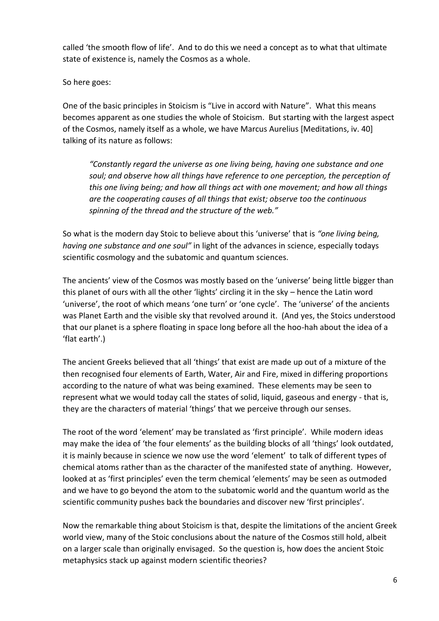called 'the smooth flow of life'. And to do this we need a concept as to what that ultimate state of existence is, namely the Cosmos as a whole.

So here goes:

One of the basic principles in Stoicism is "Live in accord with Nature". What this means becomes apparent as one studies the whole of Stoicism. But starting with the largest aspect of the Cosmos, namely itself as a whole, we have Marcus Aurelius [Meditations, iv. 40] talking of its nature as follows:

*"Constantly regard the universe as one living being, having one substance and one soul; and observe how all things have reference to one perception, the perception of this one living being; and how all things act with one movement; and how all things are the cooperating causes of all things that exist; observe too the continuous spinning of the thread and the structure of the web."* 

So what is the modern day Stoic to believe about this 'universe' that is *"one living being, having one substance and one soul"* in light of the advances in science, especially todays scientific cosmology and the subatomic and quantum sciences.

The ancients' view of the Cosmos was mostly based on the 'universe' being little bigger than this planet of ours with all the other 'lights' circling it in the sky – hence the Latin word 'universe', the root of which means 'one turn' or 'one cycle'. The 'universe' of the ancients was Planet Earth and the visible sky that revolved around it. (And yes, the Stoics understood that our planet is a sphere floating in space long before all the hoo-hah about the idea of a 'flat earth'.)

The ancient Greeks believed that all 'things' that exist are made up out of a mixture of the then recognised four elements of Earth, Water, Air and Fire, mixed in differing proportions according to the nature of what was being examined. These elements may be seen to represent what we would today call the states of solid, liquid, gaseous and energy - that is, they are the characters of material 'things' that we perceive through our senses.

The root of the word 'element' may be translated as 'first principle'. While modern ideas may make the idea of 'the four elements' as the building blocks of all 'things' look outdated, it is mainly because in science we now use the word 'element' to talk of different types of chemical atoms rather than as the character of the manifested state of anything. However, looked at as 'first principles' even the term chemical 'elements' may be seen as outmoded and we have to go beyond the atom to the subatomic world and the quantum world as the scientific community pushes back the boundaries and discover new 'first principles'.

Now the remarkable thing about Stoicism is that, despite the limitations of the ancient Greek world view, many of the Stoic conclusions about the nature of the Cosmos still hold, albeit on a larger scale than originally envisaged. So the question is, how does the ancient Stoic metaphysics stack up against modern scientific theories?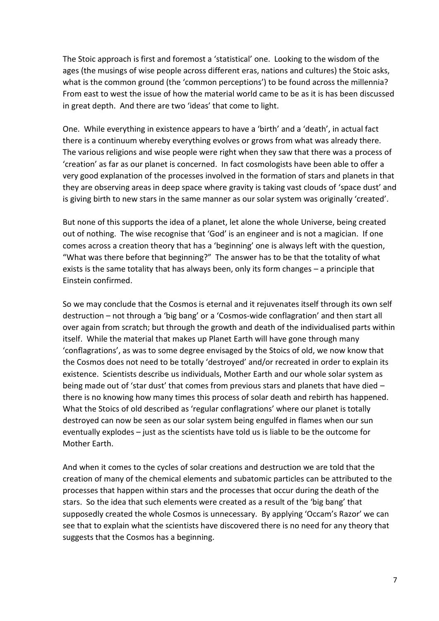The Stoic approach is first and foremost a 'statistical' one. Looking to the wisdom of the ages (the musings of wise people across different eras, nations and cultures) the Stoic asks, what is the common ground (the 'common perceptions') to be found across the millennia? From east to west the issue of how the material world came to be as it is has been discussed in great depth. And there are two 'ideas' that come to light.

One. While everything in existence appears to have a 'birth' and a 'death', in actual fact there is a continuum whereby everything evolves or grows from what was already there. The various religions and wise people were right when they saw that there was a process of 'creation' as far as our planet is concerned. In fact cosmologists have been able to offer a very good explanation of the processes involved in the formation of stars and planets in that they are observing areas in deep space where gravity is taking vast clouds of 'space dust' and is giving birth to new stars in the same manner as our solar system was originally 'created'.

But none of this supports the idea of a planet, let alone the whole Universe, being created out of nothing. The wise recognise that 'God' is an engineer and is not a magician. If one comes across a creation theory that has a 'beginning' one is always left with the question, "What was there before that beginning?" The answer has to be that the totality of what exists is the same totality that has always been, only its form changes – a principle that Einstein confirmed.

So we may conclude that the Cosmos is eternal and it rejuvenates itself through its own self destruction – not through a 'big bang' or a 'Cosmos-wide conflagration' and then start all over again from scratch; but through the growth and death of the individualised parts within itself. While the material that makes up Planet Earth will have gone through many 'conflagrations', as was to some degree envisaged by the Stoics of old, we now know that the Cosmos does not need to be totally 'destroyed' and/or recreated in order to explain its existence. Scientists describe us individuals, Mother Earth and our whole solar system as being made out of 'star dust' that comes from previous stars and planets that have died there is no knowing how many times this process of solar death and rebirth has happened. What the Stoics of old described as 'regular conflagrations' where our planet is totally destroyed can now be seen as our solar system being engulfed in flames when our sun eventually explodes – just as the scientists have told us is liable to be the outcome for Mother Earth.

And when it comes to the cycles of solar creations and destruction we are told that the creation of many of the chemical elements and subatomic particles can be attributed to the processes that happen within stars and the processes that occur during the death of the stars. So the idea that such elements were created as a result of the 'big bang' that supposedly created the whole Cosmos is unnecessary. By applying 'Occam's Razor' we can see that to explain what the scientists have discovered there is no need for any theory that suggests that the Cosmos has a beginning.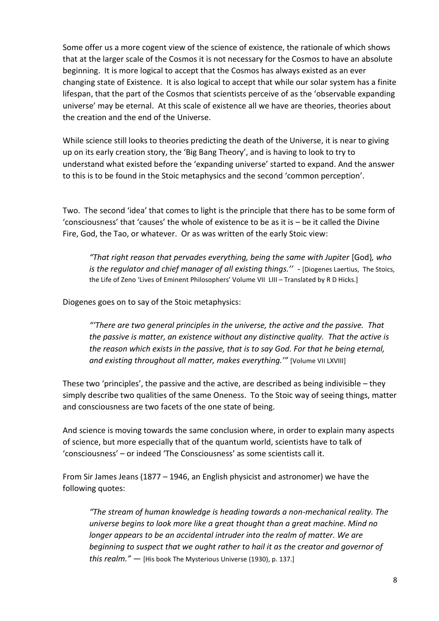Some offer us a more cogent view of the science of existence, the rationale of which shows that at the larger scale of the Cosmos it is not necessary for the Cosmos to have an absolute beginning. It is more logical to accept that the Cosmos has always existed as an ever changing state of Existence. It is also logical to accept that while our solar system has a finite lifespan, that the part of the Cosmos that scientists perceive of as the 'observable expanding universe' may be eternal. At this scale of existence all we have are theories, theories about the creation and the end of the Universe.

While science still looks to theories predicting the death of the Universe, it is near to giving up on its early creation story, the 'Big Bang Theory', and is having to look to try to understand what existed before the 'expanding universe' started to expand. And the answer to this is to be found in the Stoic metaphysics and the second 'common perception'.

Two. The second 'idea' that comes to light is the principle that there has to be some form of 'consciousness' that 'causes' the whole of existence to be as it is – be it called the Divine Fire, God, the Tao, or whatever. Or as was written of the early Stoic view:

*"That right reason that pervades everything, being the same with Jupiter* [God}*, who is the regulator and chief manager of all existing things.''* - [Diogenes Laertius, The Stoics, the Life of Zeno 'Lives of Eminent Philosophers' Volume VII LIII – Translated by R D Hicks.]

Diogenes goes on to say of the Stoic metaphysics:

*"'There are two general principles in the universe, the active and the passive. That the passive is matter, an existence without any distinctive quality. That the active is the reason which exists in the passive, that is to say God. For that he being eternal, and existing throughout all matter, makes everything.'"* [Volume VII LXVIII]

These two 'principles', the passive and the active, are described as being indivisible – they simply describe two qualities of the same Oneness. To the Stoic way of seeing things, matter and consciousness are two facets of the one state of being.

And science is moving towards the same conclusion where, in order to explain many aspects of science, but more especially that of the quantum world, scientists have to talk of 'consciousness' – or indeed 'The Consciousness' as some scientists call it.

From Sir James Jeans (1877 – 1946, an English physicist and astronomer) we have the following quotes:

*"The stream of human knowledge is heading towards a non-mechanical reality. The universe begins to look more like a great thought than a great machine. Mind no longer appears to be an accidental intruder into the realm of matter. We are beginning to suspect that we ought rather to hail it as the creator and governor of this realm."* — [His book The Mysterious Universe (1930), p. 137.]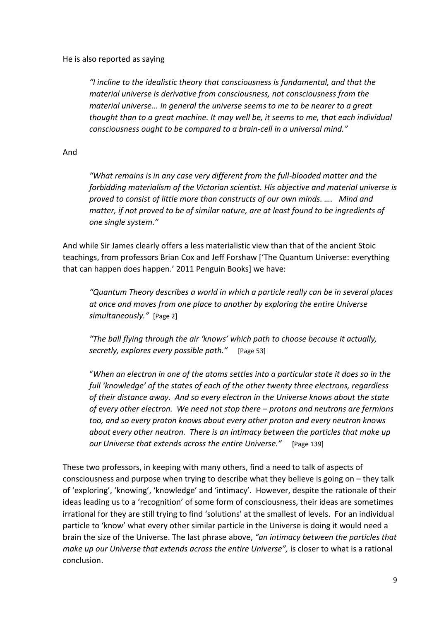#### He is also reported as saying

*"I incline to the idealistic theory that consciousness is fundamental, and that the material universe is derivative from consciousness, not consciousness from the material universe... In general the universe seems to me to be nearer to a great thought than to a great machine. It may well be, it seems to me, that each individual consciousness ought to be compared to a brain-cell in a universal mind."*

And

*"What remains is in any case very different from the full-blooded matter and the forbidding materialism of the Victorian scientist. His objective and material universe is proved to consist of little more than constructs of our own minds. …. Mind and matter, if not proved to be of similar nature, are at least found to be ingredients of one single system."* 

And while Sir James clearly offers a less materialistic view than that of the ancient Stoic teachings, from professors Brian Cox and Jeff Forshaw ['The Quantum Universe: everything that can happen does happen.' 2011 Penguin Books] we have:

*"Quantum Theory describes a world in which a particle really can be in several places at once and moves from one place to another by exploring the entire Universe simultaneously."* [Page 2]

*"The ball flying through the air 'knows' which path to choose because it actually, secretly, explores every possible path."* [Page 53]

"*When an electron in one of the atoms settles into a particular state it does so in the full 'knowledge' of the states of each of the other twenty three electrons, regardless of their distance away. And so every electron in the Universe knows about the state of every other electron. We need not stop there – protons and neutrons are fermions too, and so every proton knows about every other proton and every neutron knows about every other neutron. There is an intimacy between the particles that make up our Universe that extends across the entire Universe."* [Page 139]

These two professors, in keeping with many others, find a need to talk of aspects of consciousness and purpose when trying to describe what they believe is going on – they talk of 'exploring', 'knowing', 'knowledge' and 'intimacy'. However, despite the rationale of their ideas leading us to a 'recognition' of some form of consciousness, their ideas are sometimes irrational for they are still trying to find 'solutions' at the smallest of levels. For an individual particle to 'know' what every other similar particle in the Universe is doing it would need a brain the size of the Universe. The last phrase above, *"an intimacy between the particles that make up our Universe that extends across the entire Universe",* is closer to what is a rational conclusion.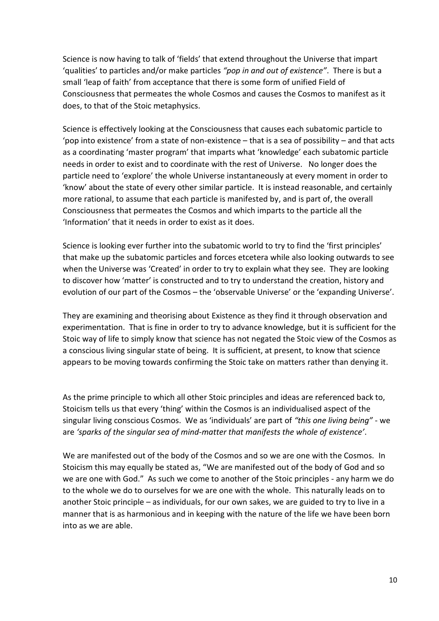Science is now having to talk of 'fields' that extend throughout the Universe that impart 'qualities' to particles and/or make particles *"pop in and out of existence"*. There is but a small 'leap of faith' from acceptance that there is some form of unified Field of Consciousness that permeates the whole Cosmos and causes the Cosmos to manifest as it does, to that of the Stoic metaphysics.

Science is effectively looking at the Consciousness that causes each subatomic particle to 'pop into existence' from a state of non-existence – that is a sea of possibility – and that acts as a coordinating 'master program' that imparts what 'knowledge' each subatomic particle needs in order to exist and to coordinate with the rest of Universe. No longer does the particle need to 'explore' the whole Universe instantaneously at every moment in order to 'know' about the state of every other similar particle. It is instead reasonable, and certainly more rational, to assume that each particle is manifested by, and is part of, the overall Consciousness that permeates the Cosmos and which imparts to the particle all the 'Information' that it needs in order to exist as it does.

Science is looking ever further into the subatomic world to try to find the 'first principles' that make up the subatomic particles and forces etcetera while also looking outwards to see when the Universe was 'Created' in order to try to explain what they see. They are looking to discover how 'matter' is constructed and to try to understand the creation, history and evolution of our part of the Cosmos – the 'observable Universe' or the 'expanding Universe'.

They are examining and theorising about Existence as they find it through observation and experimentation. That is fine in order to try to advance knowledge, but it is sufficient for the Stoic way of life to simply know that science has not negated the Stoic view of the Cosmos as a conscious living singular state of being. It is sufficient, at present, to know that science appears to be moving towards confirming the Stoic take on matters rather than denying it.

As the prime principle to which all other Stoic principles and ideas are referenced back to, Stoicism tells us that every 'thing' within the Cosmos is an individualised aspect of the singular living conscious Cosmos. We as 'individuals' are part of *"this one living being"* - we are *'sparks of the singular sea of mind-matter that manifests the whole of existence'*.

We are manifested out of the body of the Cosmos and so we are one with the Cosmos. In Stoicism this may equally be stated as, "We are manifested out of the body of God and so we are one with God." As such we come to another of the Stoic principles - any harm we do to the whole we do to ourselves for we are one with the whole. This naturally leads on to another Stoic principle – as individuals, for our own sakes, we are guided to try to live in a manner that is as harmonious and in keeping with the nature of the life we have been born into as we are able.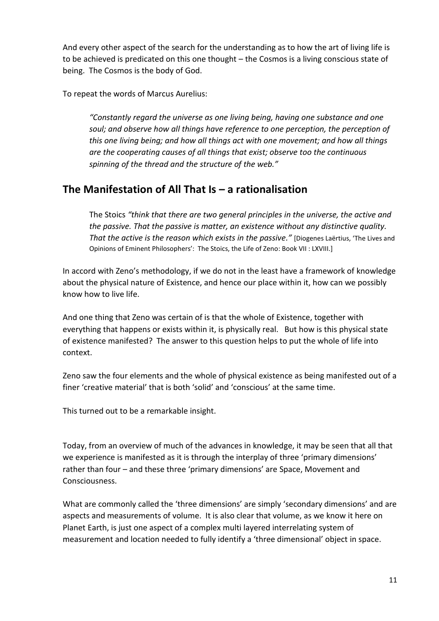And every other aspect of the search for the understanding as to how the art of living life is to be achieved is predicated on this one thought – the Cosmos is a living conscious state of being. The Cosmos is the body of God.

To repeat the words of Marcus Aurelius:

*"Constantly regard the universe as one living being, having one substance and one soul; and observe how all things have reference to one perception, the perception of this one living being; and how all things act with one movement; and how all things are the cooperating causes of all things that exist; observe too the continuous spinning of the thread and the structure of the web."* 

## **The Manifestation of All That Is – a rationalisation**

The Stoics *"think that there are two general principles in the universe, the active and the passive. That the passive is matter, an existence without any distinctive quality. That the active is the reason which exists in the passive."* [Diogenes Laërtius, 'The Lives and Opinions of Eminent Philosophers': The Stoics, the Life of Zeno: Book VII : LXVIII.]

In accord with Zeno's methodology, if we do not in the least have a framework of knowledge about the physical nature of Existence, and hence our place within it, how can we possibly know how to live life.

And one thing that Zeno was certain of is that the whole of Existence, together with everything that happens or exists within it, is physically real. But how is this physical state of existence manifested? The answer to this question helps to put the whole of life into context.

Zeno saw the four elements and the whole of physical existence as being manifested out of a finer 'creative material' that is both 'solid' and 'conscious' at the same time.

This turned out to be a remarkable insight.

Today, from an overview of much of the advances in knowledge, it may be seen that all that we experience is manifested as it is through the interplay of three 'primary dimensions' rather than four – and these three 'primary dimensions' are Space, Movement and Consciousness.

What are commonly called the 'three dimensions' are simply 'secondary dimensions' and are aspects and measurements of volume. It is also clear that volume, as we know it here on Planet Earth, is just one aspect of a complex multi layered interrelating system of measurement and location needed to fully identify a 'three dimensional' object in space.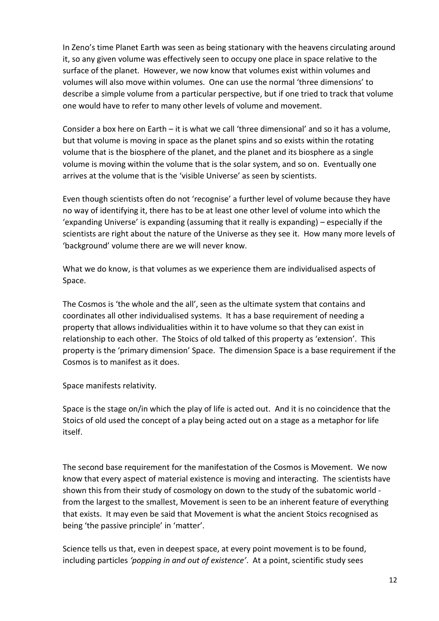In Zeno's time Planet Earth was seen as being stationary with the heavens circulating around it, so any given volume was effectively seen to occupy one place in space relative to the surface of the planet. However, we now know that volumes exist within volumes and volumes will also move within volumes. One can use the normal 'three dimensions' to describe a simple volume from a particular perspective, but if one tried to track that volume one would have to refer to many other levels of volume and movement.

Consider a box here on Earth – it is what we call 'three dimensional' and so it has a volume, but that volume is moving in space as the planet spins and so exists within the rotating volume that is the biosphere of the planet, and the planet and its biosphere as a single volume is moving within the volume that is the solar system, and so on. Eventually one arrives at the volume that is the 'visible Universe' as seen by scientists.

Even though scientists often do not 'recognise' a further level of volume because they have no way of identifying it, there has to be at least one other level of volume into which the 'expanding Universe' is expanding (assuming that it really is expanding) – especially if the scientists are right about the nature of the Universe as they see it. How many more levels of 'background' volume there are we will never know.

What we do know, is that volumes as we experience them are individualised aspects of Space.

The Cosmos is 'the whole and the all', seen as the ultimate system that contains and coordinates all other individualised systems. It has a base requirement of needing a property that allows individualities within it to have volume so that they can exist in relationship to each other. The Stoics of old talked of this property as 'extension'. This property is the 'primary dimension' Space. The dimension Space is a base requirement if the Cosmos is to manifest as it does.

Space manifests relativity.

Space is the stage on/in which the play of life is acted out. And it is no coincidence that the Stoics of old used the concept of a play being acted out on a stage as a metaphor for life itself.

The second base requirement for the manifestation of the Cosmos is Movement. We now know that every aspect of material existence is moving and interacting. The scientists have shown this from their study of cosmology on down to the study of the subatomic world from the largest to the smallest, Movement is seen to be an inherent feature of everything that exists. It may even be said that Movement is what the ancient Stoics recognised as being 'the passive principle' in 'matter'.

Science tells us that, even in deepest space, at every point movement is to be found, including particles *'popping in and out of existence'*. At a point, scientific study sees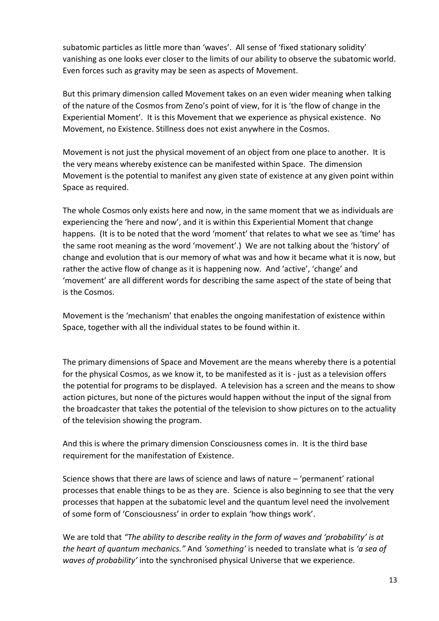subatomic particles as little more than 'waves'. All sense of 'fixed stationary solidity' vanishing as one looks ever closer to the limits of our ability to observe the subatomic world. Even forces such as gravity may be seen as aspects of Movement.

But this primary dimension called Movement takes on an even wider meaning when talking of the nature of the Cosmos from Zeno's point of view, for it is 'the flow of change in the Experiential Moment'. It is this Movement that we experience as physical existence. No Movement, no Existence. Stillness does not exist anywhere in the Cosmos.

Movement is not just the physical movement of an object from one place to another. It is the very means whereby existence can be manifested within Space. The dimension Movement is the potential to manifest any given state of existence at any given point within Space as required.

The whole Cosmos only exists here and now, in the same moment that we as individuals are experiencing the 'here and now', and it is within this Experiential Moment that change happens. (It is to be noted that the word 'moment' that relates to what we see as 'time' has the same root meaning as the word 'movement'.) We are not talking about the 'history' of change and evolution that is our memory of what was and how it became what it is now, but rather the active flow of change as it is happening now. And 'active', 'change' and 'movement' are all different words for describing the same aspect of the state of being that is the Cosmos.

Movement is the 'mechanism' that enables the ongoing manifestation of existence within Space, together with all the individual states to be found within it.

The primary dimensions of Space and Movement are the means whereby there is a potential for the physical Cosmos, as we know it, to be manifested as it is - just as a television offers the potential for programs to be displayed. A television has a screen and the means to show action pictures, but none of the pictures would happen without the input of the signal from the broadcaster that takes the potential of the television to show pictures on to the actuality of the television showing the program.

And this is where the primary dimension Consciousness comes in. It is the third base requirement for the manifestation of Existence.

Science shows that there are laws of science and laws of nature – 'permanent' rational processes that enable things to be as they are. Science is also beginning to see that the very processes that happen at the subatomic level and the quantum level need the involvement of some form of 'Consciousness' in order to explain 'how things work'.

We are told that *"The ability to describe reality in the form of waves and 'probability' is at the heart of quantum mechanics."* And *'something'* is needed to translate what is *'a sea of waves of probability'* into the synchronised physical Universe that we experience.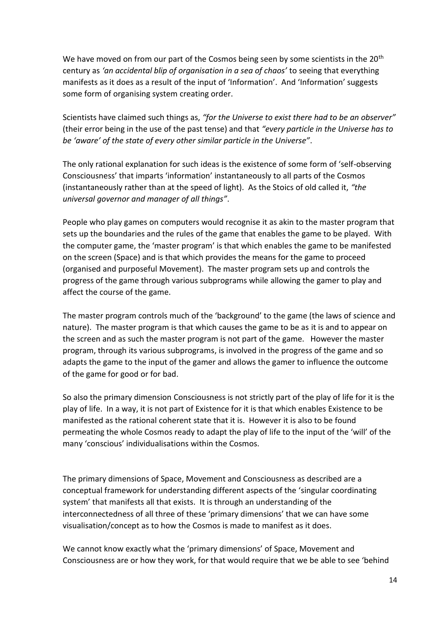We have moved on from our part of the Cosmos being seen by some scientists in the 20<sup>th</sup> century as *'an accidental blip of organisation in a sea of chaos'* to seeing that everything manifests as it does as a result of the input of 'Information'. And 'Information' suggests some form of organising system creating order.

Scientists have claimed such things as, *"for the Universe to exist there had to be an observer"* (their error being in the use of the past tense) and that *"every particle in the Universe has to be 'aware' of the state of every other similar particle in the Universe"*.

The only rational explanation for such ideas is the existence of some form of 'self-observing Consciousness' that imparts 'information' instantaneously to all parts of the Cosmos (instantaneously rather than at the speed of light). As the Stoics of old called it, *"the universal governor and manager of all things"*.

People who play games on computers would recognise it as akin to the master program that sets up the boundaries and the rules of the game that enables the game to be played. With the computer game, the 'master program' is that which enables the game to be manifested on the screen (Space) and is that which provides the means for the game to proceed (organised and purposeful Movement). The master program sets up and controls the progress of the game through various subprograms while allowing the gamer to play and affect the course of the game.

The master program controls much of the 'background' to the game (the laws of science and nature). The master program is that which causes the game to be as it is and to appear on the screen and as such the master program is not part of the game. However the master program, through its various subprograms, is involved in the progress of the game and so adapts the game to the input of the gamer and allows the gamer to influence the outcome of the game for good or for bad.

So also the primary dimension Consciousness is not strictly part of the play of life for it is the play of life. In a way, it is not part of Existence for it is that which enables Existence to be manifested as the rational coherent state that it is. However it is also to be found permeating the whole Cosmos ready to adapt the play of life to the input of the 'will' of the many 'conscious' individualisations within the Cosmos.

The primary dimensions of Space, Movement and Consciousness as described are a conceptual framework for understanding different aspects of the 'singular coordinating system' that manifests all that exists. It is through an understanding of the interconnectedness of all three of these 'primary dimensions' that we can have some visualisation/concept as to how the Cosmos is made to manifest as it does.

We cannot know exactly what the 'primary dimensions' of Space, Movement and Consciousness are or how they work, for that would require that we be able to see 'behind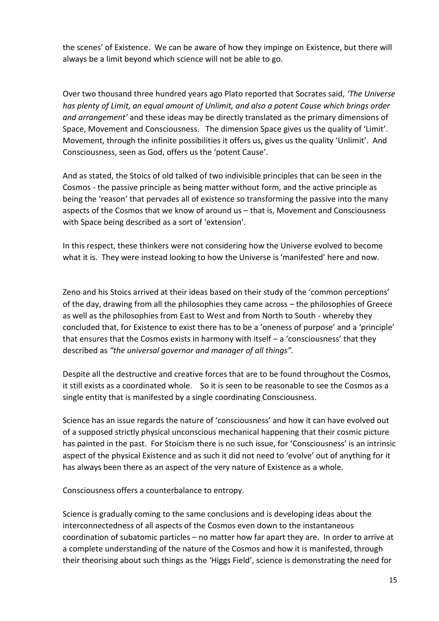the scenes' of Existence. We can be aware of how they impinge on Existence, but there will always be a limit beyond which science will not be able to go.

Over two thousand three hundred years ago Plato reported that Socrates said, *'The Universe has plenty of Limit, an equal amount of Unlimit, and also a potent Cause which brings order and arrangement'* and these ideas may be directly translated as the primary dimensions of Space, Movement and Consciousness. The dimension Space gives us the quality of 'Limit'. Movement, through the infinite possibilities it offers us, gives us the quality 'Unlimit'. And Consciousness, seen as God, offers us the 'potent Cause'.

And as stated, the Stoics of old talked of two indivisible principles that can be seen in the Cosmos - the passive principle as being matter without form, and the active principle as being the 'reason' that pervades all of existence so transforming the passive into the many aspects of the Cosmos that we know of around us – that is, Movement and Consciousness with Space being described as a sort of 'extension'.

In this respect, these thinkers were not considering how the Universe evolved to become what it is. They were instead looking to how the Universe is 'manifested' here and now.

Zeno and his Stoics arrived at their ideas based on their study of the 'common perceptions' of the day, drawing from all the philosophies they came across – the philosophies of Greece as well as the philosophies from East to West and from North to South - whereby they concluded that, for Existence to exist there has to be a 'oneness of purpose' and a 'principle' that ensures that the Cosmos exists in harmony with itself – a 'consciousness' that they described as *"the universal governor and manager of all things".*

Despite all the destructive and creative forces that are to be found throughout the Cosmos, it still exists as a coordinated whole. So it is seen to be reasonable to see the Cosmos as a single entity that is manifested by a single coordinating Consciousness.

Science has an issue regards the nature of 'consciousness' and how it can have evolved out of a supposed strictly physical unconscious mechanical happening that their cosmic picture has painted in the past. For Stoicism there is no such issue, for 'Consciousness' is an intrinsic aspect of the physical Existence and as such it did not need to 'evolve' out of anything for it has always been there as an aspect of the very nature of Existence as a whole.

Consciousness offers a counterbalance to entropy.

Science is gradually coming to the same conclusions and is developing ideas about the interconnectedness of all aspects of the Cosmos even down to the instantaneous coordination of subatomic particles – no matter how far apart they are. In order to arrive at a complete understanding of the nature of the Cosmos and how it is manifested, through their theorising about such things as the 'Higgs Field', science is demonstrating the need for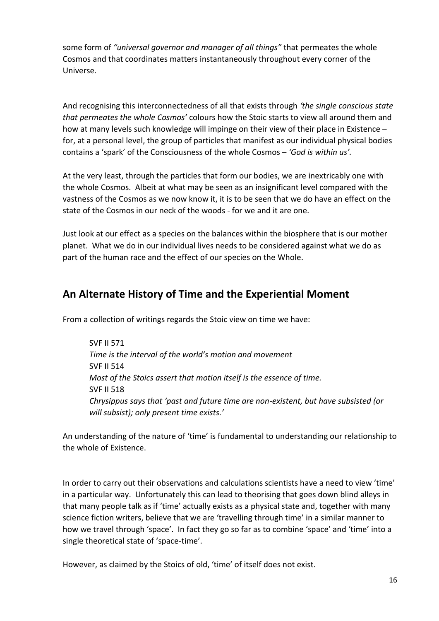some form of *"universal governor and manager of all things"* that permeates the whole Cosmos and that coordinates matters instantaneously throughout every corner of the Universe.

And recognising this interconnectedness of all that exists through *'the single conscious state that permeates the whole Cosmos'* colours how the Stoic starts to view all around them and how at many levels such knowledge will impinge on their view of their place in Existence – for, at a personal level, the group of particles that manifest as our individual physical bodies contains a 'spark' of the Consciousness of the whole Cosmos – *'God is within us'.*

At the very least, through the particles that form our bodies, we are inextricably one with the whole Cosmos. Albeit at what may be seen as an insignificant level compared with the vastness of the Cosmos as we now know it, it is to be seen that we do have an effect on the state of the Cosmos in our neck of the woods - for we and it are one.

Just look at our effect as a species on the balances within the biosphere that is our mother planet. What we do in our individual lives needs to be considered against what we do as part of the human race and the effect of our species on the Whole.

# **An Alternate History of Time and the Experiential Moment**

From a collection of writings regards the Stoic view on time we have:

SVF II 571 *Time is the interval of the world's motion and movement* SVF II 514 *Most of the Stoics assert that motion itself is the essence of time.* SVF II 518 *Chrysippus says that 'past and future time are non-existent, but have subsisted (or will subsist); only present time exists.'*

An understanding of the nature of 'time' is fundamental to understanding our relationship to the whole of Existence.

In order to carry out their observations and calculations scientists have a need to view 'time' in a particular way. Unfortunately this can lead to theorising that goes down blind alleys in that many people talk as if 'time' actually exists as a physical state and, together with many science fiction writers, believe that we are 'travelling through time' in a similar manner to how we travel through 'space'. In fact they go so far as to combine 'space' and 'time' into a single theoretical state of 'space-time'.

However, as claimed by the Stoics of old, 'time' of itself does not exist.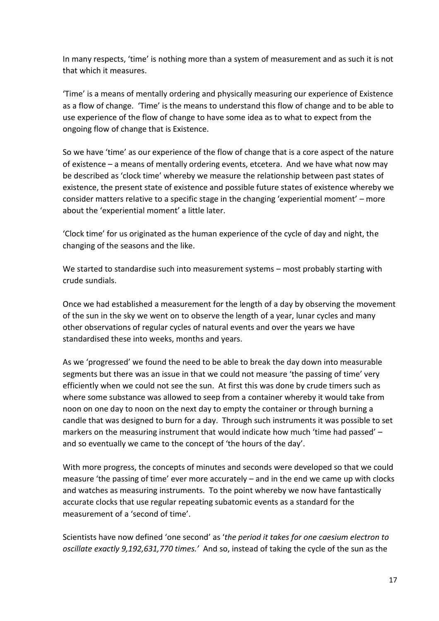In many respects, 'time' is nothing more than a system of measurement and as such it is not that which it measures.

'Time' is a means of mentally ordering and physically measuring our experience of Existence as a flow of change. 'Time' is the means to understand this flow of change and to be able to use experience of the flow of change to have some idea as to what to expect from the ongoing flow of change that is Existence.

So we have 'time' as our experience of the flow of change that is a core aspect of the nature of existence – a means of mentally ordering events, etcetera. And we have what now may be described as 'clock time' whereby we measure the relationship between past states of existence, the present state of existence and possible future states of existence whereby we consider matters relative to a specific stage in the changing 'experiential moment' – more about the 'experiential moment' a little later.

'Clock time' for us originated as the human experience of the cycle of day and night, the changing of the seasons and the like.

We started to standardise such into measurement systems – most probably starting with crude sundials.

Once we had established a measurement for the length of a day by observing the movement of the sun in the sky we went on to observe the length of a year, lunar cycles and many other observations of regular cycles of natural events and over the years we have standardised these into weeks, months and years.

As we 'progressed' we found the need to be able to break the day down into measurable segments but there was an issue in that we could not measure 'the passing of time' very efficiently when we could not see the sun. At first this was done by crude timers such as where some substance was allowed to seep from a container whereby it would take from noon on one day to noon on the next day to empty the container or through burning a candle that was designed to burn for a day. Through such instruments it was possible to set markers on the measuring instrument that would indicate how much 'time had passed' – and so eventually we came to the concept of 'the hours of the day'.

With more progress, the concepts of minutes and seconds were developed so that we could measure 'the passing of time' ever more accurately – and in the end we came up with clocks and watches as measuring instruments. To the point whereby we now have fantastically accurate clocks that use regular repeating subatomic events as a standard for the measurement of a 'second of time'.

Scientists have now defined 'one second' as '*the period it takes for one caesium electron to oscillate exactly 9,192,631,770 times.'* And so, instead of taking the cycle of the sun as the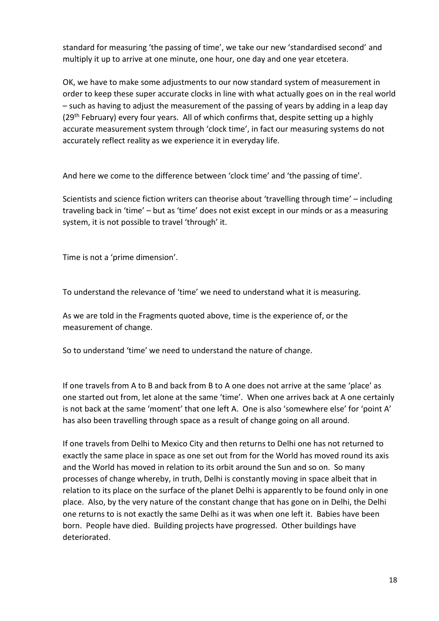standard for measuring 'the passing of time', we take our new 'standardised second' and multiply it up to arrive at one minute, one hour, one day and one year etcetera.

OK, we have to make some adjustments to our now standard system of measurement in order to keep these super accurate clocks in line with what actually goes on in the real world – such as having to adjust the measurement of the passing of years by adding in a leap day (29<sup>th</sup> February) every four years. All of which confirms that, despite setting up a highly accurate measurement system through 'clock time', in fact our measuring systems do not accurately reflect reality as we experience it in everyday life.

And here we come to the difference between 'clock time' and 'the passing of time'.

Scientists and science fiction writers can theorise about 'travelling through time' – including traveling back in 'time' – but as 'time' does not exist except in our minds or as a measuring system, it is not possible to travel 'through' it.

Time is not a 'prime dimension'.

To understand the relevance of 'time' we need to understand what it is measuring.

As we are told in the Fragments quoted above, time is the experience of, or the measurement of change.

So to understand 'time' we need to understand the nature of change.

If one travels from A to B and back from B to A one does not arrive at the same 'place' as one started out from, let alone at the same 'time'. When one arrives back at A one certainly is not back at the same 'moment' that one left A. One is also 'somewhere else' for 'point A' has also been travelling through space as a result of change going on all around.

If one travels from Delhi to Mexico City and then returns to Delhi one has not returned to exactly the same place in space as one set out from for the World has moved round its axis and the World has moved in relation to its orbit around the Sun and so on. So many processes of change whereby, in truth, Delhi is constantly moving in space albeit that in relation to its place on the surface of the planet Delhi is apparently to be found only in one place. Also, by the very nature of the constant change that has gone on in Delhi, the Delhi one returns to is not exactly the same Delhi as it was when one left it. Babies have been born. People have died. Building projects have progressed. Other buildings have deteriorated.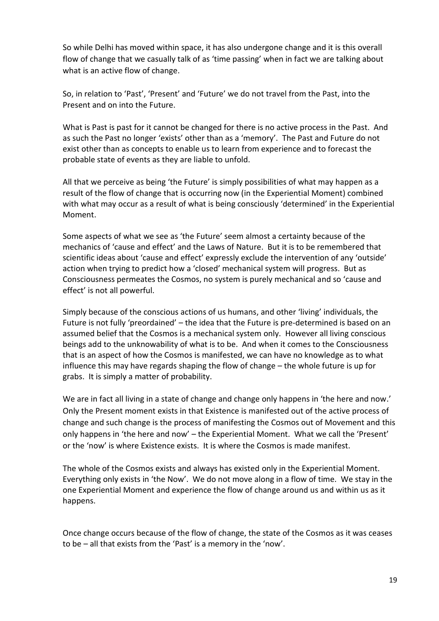So while Delhi has moved within space, it has also undergone change and it is this overall flow of change that we casually talk of as 'time passing' when in fact we are talking about what is an active flow of change.

So, in relation to 'Past', 'Present' and 'Future' we do not travel from the Past, into the Present and on into the Future.

What is Past is past for it cannot be changed for there is no active process in the Past. And as such the Past no longer 'exists' other than as a 'memory'. The Past and Future do not exist other than as concepts to enable us to learn from experience and to forecast the probable state of events as they are liable to unfold.

All that we perceive as being 'the Future' is simply possibilities of what may happen as a result of the flow of change that is occurring now (in the Experiential Moment) combined with what may occur as a result of what is being consciously 'determined' in the Experiential Moment.

Some aspects of what we see as 'the Future' seem almost a certainty because of the mechanics of 'cause and effect' and the Laws of Nature. But it is to be remembered that scientific ideas about 'cause and effect' expressly exclude the intervention of any 'outside' action when trying to predict how a 'closed' mechanical system will progress. But as Consciousness permeates the Cosmos, no system is purely mechanical and so 'cause and effect' is not all powerful.

Simply because of the conscious actions of us humans, and other 'living' individuals, the Future is not fully 'preordained' – the idea that the Future is pre-determined is based on an assumed belief that the Cosmos is a mechanical system only. However all living conscious beings add to the unknowability of what is to be. And when it comes to the Consciousness that is an aspect of how the Cosmos is manifested, we can have no knowledge as to what influence this may have regards shaping the flow of change – the whole future is up for grabs. It is simply a matter of probability.

We are in fact all living in a state of change and change only happens in 'the here and now.' Only the Present moment exists in that Existence is manifested out of the active process of change and such change is the process of manifesting the Cosmos out of Movement and this only happens in 'the here and now' – the Experiential Moment. What we call the 'Present' or the 'now' is where Existence exists. It is where the Cosmos is made manifest.

The whole of the Cosmos exists and always has existed only in the Experiential Moment. Everything only exists in 'the Now'. We do not move along in a flow of time. We stay in the one Experiential Moment and experience the flow of change around us and within us as it happens.

Once change occurs because of the flow of change, the state of the Cosmos as it was ceases to be – all that exists from the 'Past' is a memory in the 'now'.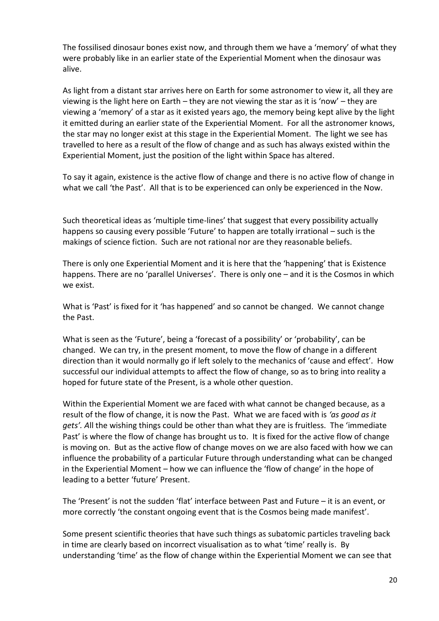The fossilised dinosaur bones exist now, and through them we have a 'memory' of what they were probably like in an earlier state of the Experiential Moment when the dinosaur was alive.

As light from a distant star arrives here on Earth for some astronomer to view it, all they are viewing is the light here on Earth – they are not viewing the star as it is 'now' – they are viewing a 'memory' of a star as it existed years ago, the memory being kept alive by the light it emitted during an earlier state of the Experiential Moment. For all the astronomer knows, the star may no longer exist at this stage in the Experiential Moment. The light we see has travelled to here as a result of the flow of change and as such has always existed within the Experiential Moment, just the position of the light within Space has altered.

To say it again, existence is the active flow of change and there is no active flow of change in what we call 'the Past'. All that is to be experienced can only be experienced in the Now.

Such theoretical ideas as 'multiple time-lines' that suggest that every possibility actually happens so causing every possible 'Future' to happen are totally irrational – such is the makings of science fiction. Such are not rational nor are they reasonable beliefs.

There is only one Experiential Moment and it is here that the 'happening' that is Existence happens. There are no 'parallel Universes'. There is only one – and it is the Cosmos in which we exist.

What is 'Past' is fixed for it 'has happened' and so cannot be changed. We cannot change the Past.

What is seen as the 'Future', being a 'forecast of a possibility' or 'probability', can be changed. We can try, in the present moment, to move the flow of change in a different direction than it would normally go if left solely to the mechanics of 'cause and effect'. How successful our individual attempts to affect the flow of change, so as to bring into reality a hoped for future state of the Present, is a whole other question.

Within the Experiential Moment we are faced with what cannot be changed because, as a result of the flow of change, it is now the Past. What we are faced with is *'as good as it gets'. A*ll the wishing things could be other than what they are is fruitless. The 'immediate Past' is where the flow of change has brought us to. It is fixed for the active flow of change is moving on. But as the active flow of change moves on we are also faced with how we can influence the probability of a particular Future through understanding what can be changed in the Experiential Moment – how we can influence the 'flow of change' in the hope of leading to a better 'future' Present.

The 'Present' is not the sudden 'flat' interface between Past and Future – it is an event, or more correctly 'the constant ongoing event that is the Cosmos being made manifest'.

Some present scientific theories that have such things as subatomic particles traveling back in time are clearly based on incorrect visualisation as to what 'time' really is. By understanding 'time' as the flow of change within the Experiential Moment we can see that